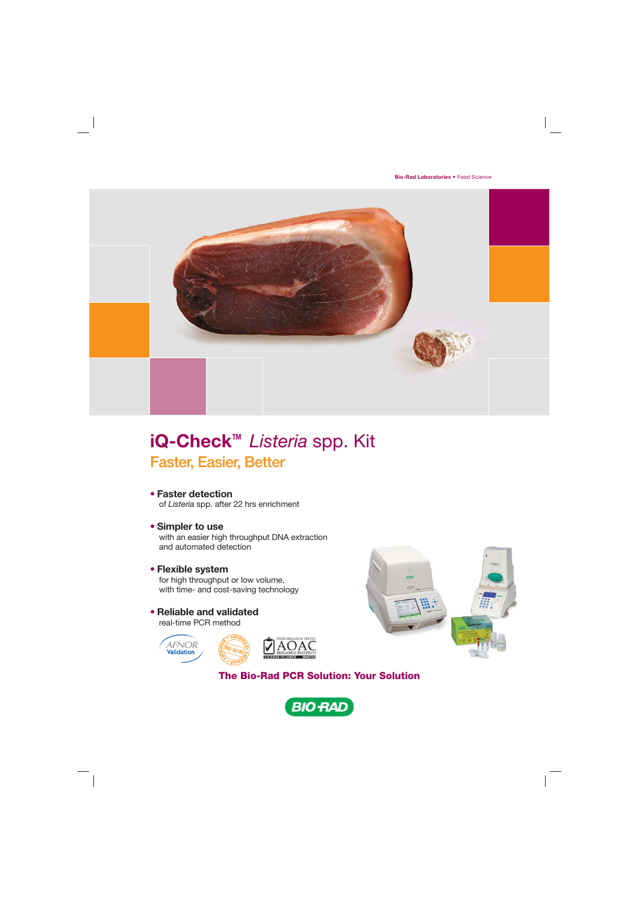

## **iQ-Check™** *Listeria* spp. Kit Faster, Easier, Better

- **Faster detection** of *Listeria* spp. after 22 hrs enrichment
- **Simpler to use** with an easier high throughput DNA extraction and automated detection
- **Flexible system**
	- for high throughput or low volume, with time- and cost-saving technology
- **Reliable and validated** real-time PCR method

![](_page_0_Picture_8.jpeg)

![](_page_0_Picture_9.jpeg)

**The Bio-Rad PCR Solution: Your Solution**

![](_page_0_Picture_11.jpeg)